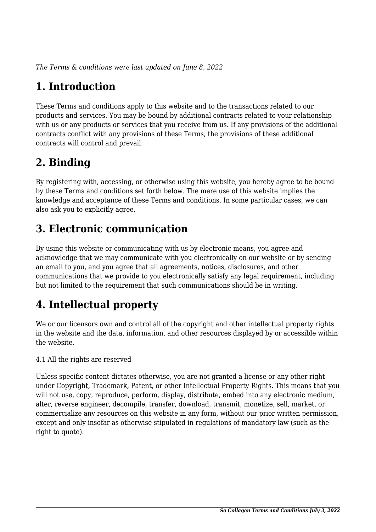*The Terms & conditions were last updated on June 8, 2022*

# **1. Introduction**

These Terms and conditions apply to this website and to the transactions related to our products and services. You may be bound by additional contracts related to your relationship with us or any products or services that you receive from us. If any provisions of the additional contracts conflict with any provisions of these Terms, the provisions of these additional contracts will control and prevail.

# **2. Binding**

By registering with, accessing, or otherwise using this website, you hereby agree to be bound by these Terms and conditions set forth below. The mere use of this website implies the knowledge and acceptance of these Terms and conditions. In some particular cases, we can also ask you to explicitly agree.

# **3. Electronic communication**

By using this website or communicating with us by electronic means, you agree and acknowledge that we may communicate with you electronically on our website or by sending an email to you, and you agree that all agreements, notices, disclosures, and other communications that we provide to you electronically satisfy any legal requirement, including but not limited to the requirement that such communications should be in writing.

# **4. Intellectual property**

We or our licensors own and control all of the copyright and other intellectual property rights in the website and the data, information, and other resources displayed by or accessible within the website.

4.1 All the rights are reserved

Unless specific content dictates otherwise, you are not granted a license or any other right under Copyright, Trademark, Patent, or other Intellectual Property Rights. This means that you will not use, copy, reproduce, perform, display, distribute, embed into any electronic medium, alter, reverse engineer, decompile, transfer, download, transmit, monetize, sell, market, or commercialize any resources on this website in any form, without our prior written permission, except and only insofar as otherwise stipulated in regulations of mandatory law (such as the right to quote).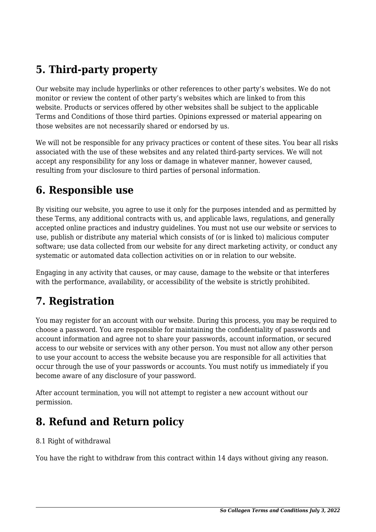# **5. Third-party property**

Our website may include hyperlinks or other references to other party's websites. We do not monitor or review the content of other party's websites which are linked to from this website. Products or services offered by other websites shall be subject to the applicable Terms and Conditions of those third parties. Opinions expressed or material appearing on those websites are not necessarily shared or endorsed by us.

We will not be responsible for any privacy practices or content of these sites. You bear all risks associated with the use of these websites and any related third-party services. We will not accept any responsibility for any loss or damage in whatever manner, however caused, resulting from your disclosure to third parties of personal information.

#### **6. Responsible use**

By visiting our website, you agree to use it only for the purposes intended and as permitted by these Terms, any additional contracts with us, and applicable laws, regulations, and generally accepted online practices and industry guidelines. You must not use our website or services to use, publish or distribute any material which consists of (or is linked to) malicious computer software; use data collected from our website for any direct marketing activity, or conduct any systematic or automated data collection activities on or in relation to our website.

Engaging in any activity that causes, or may cause, damage to the website or that interferes with the performance, availability, or accessibility of the website is strictly prohibited.

# **7. Registration**

You may register for an account with our website. During this process, you may be required to choose a password. You are responsible for maintaining the confidentiality of passwords and account information and agree not to share your passwords, account information, or secured access to our website or services with any other person. You must not allow any other person to use your account to access the website because you are responsible for all activities that occur through the use of your passwords or accounts. You must notify us immediately if you become aware of any disclosure of your password.

After account termination, you will not attempt to register a new account without our permission.

# **8. Refund and Return policy**

#### 8.1 Right of withdrawal

You have the right to withdraw from this contract within 14 days without giving any reason.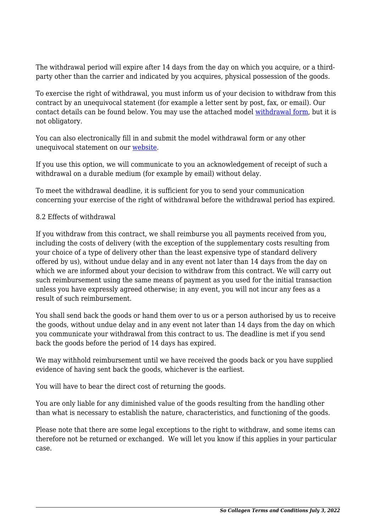The withdrawal period will expire after 14 days from the day on which you acquire, or a thirdparty other than the carrier and indicated by you acquires, physical possession of the goods.

To exercise the right of withdrawal, you must inform us of your decision to withdraw from this contract by an unequivocal statement (for example a letter sent by post, fax, or email). Our contact details can be found below. You may use the attached model [withdrawal form](https://socollagen.com/wp-content/uploads/complianz/withdrawal-forms/withdrawal-form-en.pdf), but it is not obligatory.

You can also electronically fill in and submit the model withdrawal form or any other unequivocal statement on our [website](https://socollagen.com/contact/).

If you use this option, we will communicate to you an acknowledgement of receipt of such a withdrawal on a durable medium (for example by email) without delay.

To meet the withdrawal deadline, it is sufficient for you to send your communication concerning your exercise of the right of withdrawal before the withdrawal period has expired.

#### 8.2 Effects of withdrawal

If you withdraw from this contract, we shall reimburse you all payments received from you, including the costs of delivery (with the exception of the supplementary costs resulting from your choice of a type of delivery other than the least expensive type of standard delivery offered by us), without undue delay and in any event not later than 14 days from the day on which we are informed about your decision to withdraw from this contract. We will carry out such reimbursement using the same means of payment as you used for the initial transaction unless you have expressly agreed otherwise; in any event, you will not incur any fees as a result of such reimbursement.

You shall send back the goods or hand them over to us or a person authorised by us to receive the goods, without undue delay and in any event not later than 14 days from the day on which you communicate your withdrawal from this contract to us. The deadline is met if you send back the goods before the period of 14 days has expired.

We may withhold reimbursement until we have received the goods back or you have supplied evidence of having sent back the goods, whichever is the earliest.

You will have to bear the direct cost of returning the goods.

You are only liable for any diminished value of the goods resulting from the handling other than what is necessary to establish the nature, characteristics, and functioning of the goods.

Please note that there are some legal exceptions to the right to withdraw, and some items can therefore not be returned or exchanged. We will let you know if this applies in your particular case.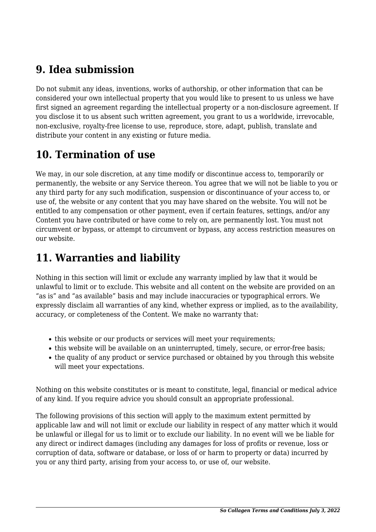## **9. Idea submission**

Do not submit any ideas, inventions, works of authorship, or other information that can be considered your own intellectual property that you would like to present to us unless we have first signed an agreement regarding the intellectual property or a non-disclosure agreement. If you disclose it to us absent such written agreement, you grant to us a worldwide, irrevocable, non-exclusive, royalty-free license to use, reproduce, store, adapt, publish, translate and distribute your content in any existing or future media.

# **10. Termination of use**

We may, in our sole discretion, at any time modify or discontinue access to, temporarily or permanently, the website or any Service thereon. You agree that we will not be liable to you or any third party for any such modification, suspension or discontinuance of your access to, or use of, the website or any content that you may have shared on the website. You will not be entitled to any compensation or other payment, even if certain features, settings, and/or any Content you have contributed or have come to rely on, are permanently lost. You must not circumvent or bypass, or attempt to circumvent or bypass, any access restriction measures on our website.

# **11. Warranties and liability**

Nothing in this section will limit or exclude any warranty implied by law that it would be unlawful to limit or to exclude. This website and all content on the website are provided on an "as is" and "as available" basis and may include inaccuracies or typographical errors. We expressly disclaim all warranties of any kind, whether express or implied, as to the availability, accuracy, or completeness of the Content. We make no warranty that:

- this website or our products or services will meet your requirements;
- this website will be available on an uninterrupted, timely, secure, or error-free basis;
- the quality of any product or service purchased or obtained by you through this website will meet your expectations.

Nothing on this website constitutes or is meant to constitute, legal, financial or medical advice of any kind. If you require advice you should consult an appropriate professional.

The following provisions of this section will apply to the maximum extent permitted by applicable law and will not limit or exclude our liability in respect of any matter which it would be unlawful or illegal for us to limit or to exclude our liability. In no event will we be liable for any direct or indirect damages (including any damages for loss of profits or revenue, loss or corruption of data, software or database, or loss of or harm to property or data) incurred by you or any third party, arising from your access to, or use of, our website.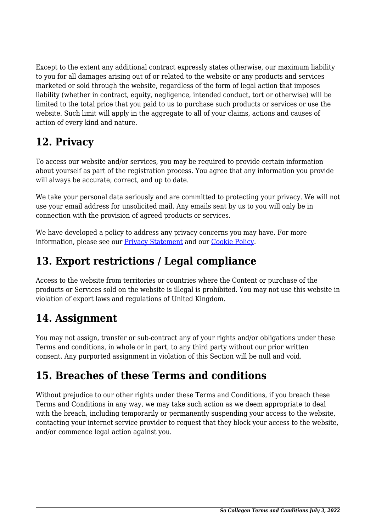Except to the extent any additional contract expressly states otherwise, our maximum liability to you for all damages arising out of or related to the website or any products and services marketed or sold through the website, regardless of the form of legal action that imposes liability (whether in contract, equity, negligence, intended conduct, tort or otherwise) will be limited to the total price that you paid to us to purchase such products or services or use the website. Such limit will apply in the aggregate to all of your claims, actions and causes of action of every kind and nature.

# **12. Privacy**

To access our website and/or services, you may be required to provide certain information about yourself as part of the registration process. You agree that any information you provide will always be accurate, correct, and up to date.

We take your personal data seriously and are committed to protecting your privacy. We will not use your email address for unsolicited mail. Any emails sent by us to you will only be in connection with the provision of agreed products or services.

We have developed a policy to address any privacy concerns you may have. For more information, please see our Privacy Statement and our Cookie Policy.

## **13. Export restrictions / Legal compliance**

Access to the website from territories or countries where the Content or purchase of the products or Services sold on the website is illegal is prohibited. You may not use this website in violation of export laws and regulations of United Kingdom.

#### **14. Assignment**

You may not assign, transfer or sub-contract any of your rights and/or obligations under these Terms and conditions, in whole or in part, to any third party without our prior written consent. Any purported assignment in violation of this Section will be null and void.

# **15. Breaches of these Terms and conditions**

Without prejudice to our other rights under these Terms and Conditions, if you breach these Terms and Conditions in any way, we may take such action as we deem appropriate to deal with the breach, including temporarily or permanently suspending your access to the website, contacting your internet service provider to request that they block your access to the website, and/or commence legal action against you.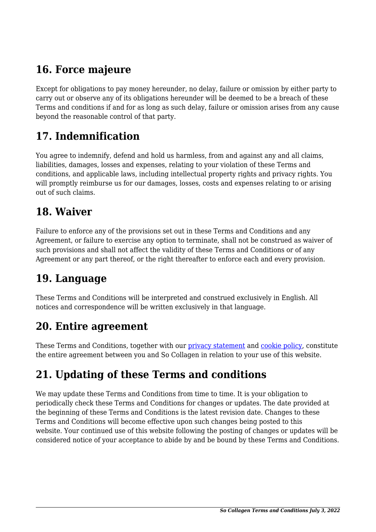# **16. Force majeure**

Except for obligations to pay money hereunder, no delay, failure or omission by either party to carry out or observe any of its obligations hereunder will be deemed to be a breach of these Terms and conditions if and for as long as such delay, failure or omission arises from any cause beyond the reasonable control of that party.

## **17. Indemnification**

You agree to indemnify, defend and hold us harmless, from and against any and all claims, liabilities, damages, losses and expenses, relating to your violation of these Terms and conditions, and applicable laws, including intellectual property rights and privacy rights. You will promptly reimburse us for our damages, losses, costs and expenses relating to or arising out of such claims.

#### **18. Waiver**

Failure to enforce any of the provisions set out in these Terms and Conditions and any Agreement, or failure to exercise any option to terminate, shall not be construed as waiver of such provisions and shall not affect the validity of these Terms and Conditions or of any Agreement or any part thereof, or the right thereafter to enforce each and every provision.

#### **19. Language**

These Terms and Conditions will be interpreted and construed exclusively in English. All notices and correspondence will be written exclusively in that language.

#### **20. Entire agreement**

These Terms and Conditions, together with our privacy statement and cookie policy, constitute the entire agreement between you and So Collagen in relation to your use of this website.

# **21. Updating of these Terms and conditions**

We may update these Terms and Conditions from time to time. It is your obligation to periodically check these Terms and Conditions for changes or updates. The date provided at the beginning of these Terms and Conditions is the latest revision date. Changes to these Terms and Conditions will become effective upon such changes being posted to this website. Your continued use of this website following the posting of changes or updates will be considered notice of your acceptance to abide by and be bound by these Terms and Conditions.